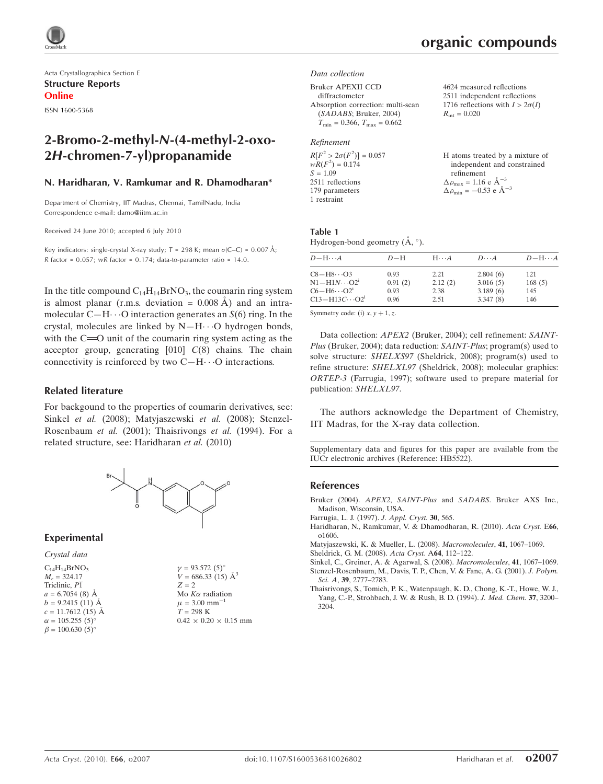Acta Crystallographica Section E Structure Reports Online ISSN 1600-5368

# 2-Bromo-2-methyl-N-(4-methyl-2-oxo-2H-chromen-7-yl)propanamide

## N. Haridharan, V. Ramkumar and R. Dhamodharan\*

Department of Chemistry, IIT Madras, Chennai, TamilNadu, India Correspondence e-mail: damo@iitm.ac.in

Received 24 June 2010; accepted 6 July 2010

Key indicators: single-crystal X-ray study;  $T = 298$  K; mean  $\sigma$ (C–C) = 0.007 Å; R factor =  $0.057$ ; wR factor =  $0.174$ ; data-to-parameter ratio = 14.0.

In the title compound  $C_{14}H_{14}BrNO_3$ , the coumarin ring system is almost planar (r.m.s. deviation  $= 0.008 \text{ Å}$ ) and an intramolecular C $-H \cdots$ O interaction generates an  $S(6)$  ring. In the crystal, molecules are linked by  $N-H\cdots O$  hydrogen bonds, with the  $C = 0$  unit of the coumarin ring system acting as the acceptor group, generating  $[010]$   $C(8)$  chains. The chain connectivity is reinforced by two  $C-H\cdots O$  interactions.

## Related literature

For backgound to the properties of coumarin derivatives, see: Sinkel et al. (2008); Matyjaszewski et al. (2008); Stenzel-Rosenbaum et al. (2001); Thaisrivongs et al. (1994). For a related structure, see: Haridharan et al. (2010)



### Experimental

### Crystal data

| $C_{14}H_{14}BrNO3$     |
|-------------------------|
| $M_r = 324.17$          |
| Triclinic, P1           |
| $a = 6.7054(8)$ Å       |
| $b = 9.2415(11)$ Å      |
| $c = 11.7612(15)$ Å     |
| $\alpha = 105.255(5)$ ° |
| $\beta = 100.630(5)$ °  |
|                         |

 $v = 93.572 (5)$ °  $V = 686.33(15)$   $\mathring{A}^3$  $Z = 2$ Mo  $K\alpha$  radiation  $\mu$  = 3.00 mm<sup>-1</sup>  $T = 298$  K  $0.42 \times 0.20 \times 0.15$  mm

#### Data collection

Bruker APEXII CCD diffractometer Absorption correction: multi-scan (SADABS; Bruker, 2004)  $T_{\text{min}} = 0.366$ ,  $T_{\text{max}} = 0.662$ 

# Refinement

| $R[F^2 > 2\sigma(F^2)] = 0.057$ |  |
|---------------------------------|--|
| $wR(F^2) = 0.174$               |  |
| $S = 1.09$                      |  |
| 2511 reflections                |  |
| 179 parameters                  |  |
| 1 restraint                     |  |

4624 measured reflections 2511 independent reflections 1716 reflections with  $I > 2\sigma(I)$  $R_{\text{int}} = 0.020$ 

| H atoms treated by a mixture of                    |
|----------------------------------------------------|
| independent and constrained                        |
| refinement                                         |
| $\Delta \rho_{\text{max}} = 1.16 \text{ e A}^{-3}$ |
| $\Delta \rho_{\text{min}} = -0.53$ e $\AA^{-3}$    |

#### Table 1 Hydrogen-bond geometry  $(A, \degree)$ .

| $D - H \cdots A$         | $D-H$   | $H\cdots A$ | $D\cdots A$ | $D - H \cdots A$ |
|--------------------------|---------|-------------|-------------|------------------|
| $C8 - H8 \cdots O3$      | 0.93    | 2.21        | 2.804(6)    | 121              |
| $N1 - H1N \cdots O2^i$   | 0.91(2) | 2.12(2)     | 3.016(5)    | 168(5)           |
| $C6 - H6 \cdots O2^i$    | 0.93    | 2.38        | 3.189(6)    | 145              |
| $C13 - H13C \cdots O2^1$ | 0.96    | 2.51        | 3.347(8)    | 146              |

Symmetry code: (i)  $x, y + 1, z$ .

Data collection: APEX2 (Bruker, 2004); cell refinement: SAINT-Plus (Bruker, 2004); data reduction: SAINT-Plus; program(s) used to solve structure: SHELXS97 (Sheldrick, 2008); program(s) used to refine structure: SHELXL97 (Sheldrick, 2008); molecular graphics: ORTEP-3 (Farrugia, 1997); software used to prepare material for publication: SHELXL97.

The authors acknowledge the Department of Chemistry, IIT Madras, for the X-ray data collection.

Supplementary data and figures for this paper are available from the IUCr electronic archives (Reference: HB5522).

### References

- Bruker (2004). APEX2, SAINT-Plus and SADABS[. Bruker AXS Inc.,](http://scripts.iucr.org/cgi-bin/cr.cgi?rm=pdfbb&cnor=hb5522&bbid=BB1) [Madison, Wisconsin, USA.](http://scripts.iucr.org/cgi-bin/cr.cgi?rm=pdfbb&cnor=hb5522&bbid=BB1)
- [Farrugia, L. J. \(1997\).](http://scripts.iucr.org/cgi-bin/cr.cgi?rm=pdfbb&cnor=hb5522&bbid=BB3) J. Appl. Cryst. 30, 565.
- [Haridharan, N., Ramkumar, V. & Dhamodharan, R. \(2010\).](http://scripts.iucr.org/cgi-bin/cr.cgi?rm=pdfbb&cnor=hb5522&bbid=BB4) Acta Cryst. E66, [o1606.](http://scripts.iucr.org/cgi-bin/cr.cgi?rm=pdfbb&cnor=hb5522&bbid=BB4)
- [Matyjaszewski, K. & Mueller, L. \(2008\).](http://scripts.iucr.org/cgi-bin/cr.cgi?rm=pdfbb&cnor=hb5522&bbid=BB5) Macromolecules, 41, 1067–1069.
- [Sheldrick, G. M. \(2008\).](http://scripts.iucr.org/cgi-bin/cr.cgi?rm=pdfbb&cnor=hb5522&bbid=BB6) Acta Cryst. A64, 112–122.
- [Sinkel, C., Greiner, A. & Agarwal, S. \(2008\).](http://scripts.iucr.org/cgi-bin/cr.cgi?rm=pdfbb&cnor=hb5522&bbid=BB7) Macromolecules, 41, 1067–1069. [Stenzel-Rosenbaum, M., Davis, T. P., Chen, V. & Fane, A. G. \(2001\).](http://scripts.iucr.org/cgi-bin/cr.cgi?rm=pdfbb&cnor=hb5522&bbid=BB8) J. Polym. Sci. A, 39[, 2777–2783.](http://scripts.iucr.org/cgi-bin/cr.cgi?rm=pdfbb&cnor=hb5522&bbid=BB8)
- [Thaisrivongs, S., Tomich, P. K., Watenpaugh, K. D., Chong, K.-T., Howe, W. J.,](http://scripts.iucr.org/cgi-bin/cr.cgi?rm=pdfbb&cnor=hb5522&bbid=BB9) [Yang, C.-P., Strohbach, J. W. & Rush, B. D. \(1994\).](http://scripts.iucr.org/cgi-bin/cr.cgi?rm=pdfbb&cnor=hb5522&bbid=BB9) J. Med. Chem. 37, 3200– [3204.](http://scripts.iucr.org/cgi-bin/cr.cgi?rm=pdfbb&cnor=hb5522&bbid=BB9)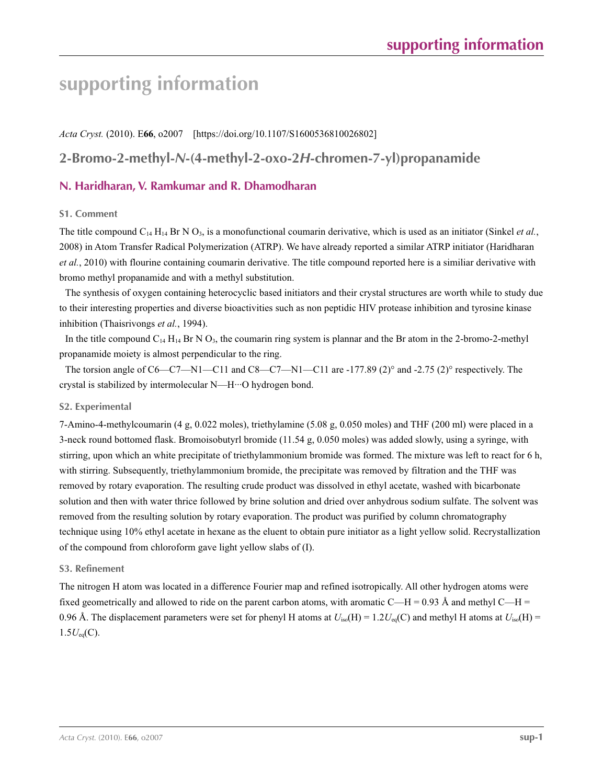# **supporting information**

*Acta Cryst.* (2010). E**66**, o2007 [https://doi.org/10.1107/S1600536810026802]

# **2-Bromo-2-methyl-***N***-(4-methyl-2-oxo-2***H***-chromen-7-yl)propanamide**

# **N. Haridharan, V. Ramkumar and R. Dhamodharan**

## **S1. Comment**

The title compound  $C_{14} H_{14}$  Br N  $O_3$ , is a monofunctional coumarin derivative, which is used as an initiator (Sinkel *et al.*, 2008) in Atom Transfer Radical Polymerization (ATRP). We have already reported a similar ATRP initiator (Haridharan *et al.*, 2010) with flourine containing coumarin derivative. The title compound reported here is a similiar derivative with bromo methyl propanamide and with a methyl substitution.

The synthesis of oxygen containing heterocyclic based initiators and their crystal structures are worth while to study due to their interesting properties and diverse bioactivities such as non peptidic HIV protease inhibition and tyrosine kinase inhibition (Thaisrivongs *et al.*, 1994).

In the title compound  $C_{14}$  H<sub>14</sub> Br N O<sub>3</sub>, the coumarin ring system is plannar and the Br atom in the 2-bromo-2-methyl propanamide moiety is almost perpendicular to the ring.

The torsion angle of C6—C7—N1—C11 and C8—C7—N1—C11 are -177.89 (2)° and -2.75 (2)° respectively. The crystal is stabilized by intermolecular N—H···O hydrogen bond.

# **S2. Experimental**

7-Amino-4-methylcoumarin (4 g, 0.022 moles), triethylamine (5.08 g, 0.050 moles) and THF (200 ml) were placed in a 3-neck round bottomed flask. Bromoisobutyrl bromide (11.54 g, 0.050 moles) was added slowly, using a syringe, with stirring, upon which an white precipitate of triethylammonium bromide was formed. The mixture was left to react for 6 h, with stirring. Subsequently, triethylammonium bromide, the precipitate was removed by filtration and the THF was removed by rotary evaporation. The resulting crude product was dissolved in ethyl acetate, washed with bicarbonate solution and then with water thrice followed by brine solution and dried over anhydrous sodium sulfate. The solvent was removed from the resulting solution by rotary evaporation. The product was purified by column chromatography technique using 10% ethyl acetate in hexane as the eluent to obtain pure initiator as a light yellow solid. Recrystallization of the compound from chloroform gave light yellow slabs of (I).

### **S3. Refinement**

The nitrogen H atom was located in a difference Fourier map and refined isotropically. All other hydrogen atoms were fixed geometrically and allowed to ride on the parent carbon atoms, with aromatic C—H = 0.93 Å and methyl C—H = 0.96 Å. The displacement parameters were set for phenyl H atoms at  $U_{iso}(H) = 1.2U_{eq}(C)$  and methyl H atoms at  $U_{iso}(H) =$  $1.5U_{eq}(C)$ .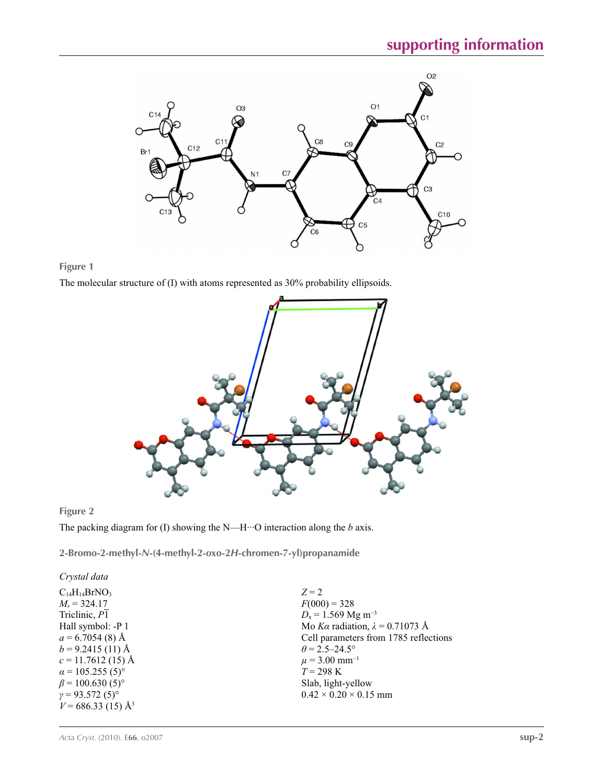

# **Figure 1**

The molecular structure of (I) with atoms represented as 30% probability ellipsoids.



# **Figure 2**

The packing diagram for (I) showing the N—H···O interaction along the *b* axis.

**2-Bromo-2-methyl-***N***-(4-methyl-2-oxo-2***H***-chromen-7-yl)propanamide** 

*Crystal data*  $C_{14}H_{14}BrNO<sub>3</sub>$  $M_r = 324.17$ Triclinic, *P*1 Hall symbol: -P 1  $a = 6.7054(8)$  Å  $b = 9.2415(11)$  Å  $c = 11.7612(15)$  Å  $\alpha$  = 105.255 (5)<sup>°</sup>  $\beta$  = 100.630 (5)<sup>o</sup>  $γ = 93.572(5)°$  $V = 686.33$  (15) Å<sup>3</sup>

 $Z = 2$  $F(000) = 328$ *D*<sub>x</sub> = 1.569 Mg m<sup>-3</sup> Mo *Kα* radiation, *λ* = 0.71073 Å Cell parameters from 1785 reflections  $\theta$  = 2.5–24.5°  $\mu$  = 3.00 mm<sup>-1</sup> *T* = 298 K Slab, light-yellow  $0.42 \times 0.20 \times 0.15$  mm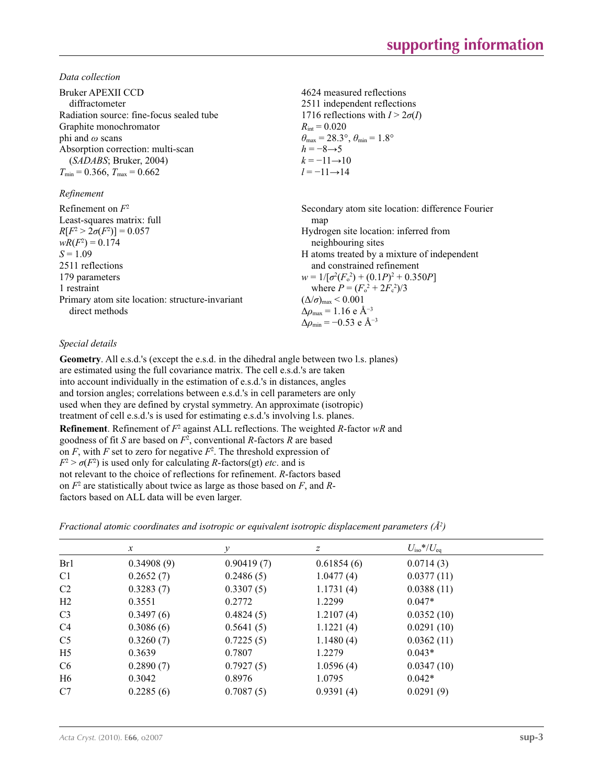*Data collection*

| Bruker APEXII CCD<br>diffractometer             | 4624 measured reflections<br>2511 independent reflections   |
|-------------------------------------------------|-------------------------------------------------------------|
| Radiation source: fine-focus sealed tube        | 1716 reflections with $I > 2\sigma(I)$                      |
| Graphite monochromator                          | $R_{\text{int}} = 0.020$                                    |
| phi and $\omega$ scans                          | $\theta_{\rm max}$ = 28.3°, $\theta_{\rm min}$ = 1.8°       |
| Absorption correction: multi-scan               | $h = -8 \rightarrow 5$                                      |
| (SADABS; Bruker, 2004)                          | $k = -11 \rightarrow 10$                                    |
| $T_{\min}$ = 0.366, $T_{\max}$ = 0.662          | $l = -11 \rightarrow 14$                                    |
| Refinement                                      |                                                             |
| Refinement on $F^2$                             | Secondary atom site location: difference Fourier            |
| Least-squares matrix: full                      | map                                                         |
| $R[F^2 > 2\sigma(F^2)] = 0.057$                 | Hydrogen site location: inferred from                       |
| $wR(F^2) = 0.174$                               | neighbouring sites                                          |
| $S = 1.09$                                      | H atoms treated by a mixture of independent                 |
| 2511 reflections                                | and constrained refinement                                  |
| 179 parameters                                  | $w = 1/[\sigma^2(F_0^2) + (0.1P)^2 + 0.350P]$               |
| 1 restraint                                     | where $P = (F_o^2 + 2F_c^2)/3$                              |
| Primary atom site location: structure-invariant | $(\Delta/\sigma)_{\text{max}}$ < 0.001                      |
| direct methods                                  | $\Delta\rho_{\text{max}} = 1.16 \text{ e } \text{\AA}^{-3}$ |
|                                                 | $\Delta\rho_{\rm min} = -0.53$ e Å <sup>-3</sup>            |

# *Special details*

**Geometry**. All e.s.d.'s (except the e.s.d. in the dihedral angle between two l.s. planes) are estimated using the full covariance matrix. The cell e.s.d.'s are taken into account individually in the estimation of e.s.d.'s in distances, angles and torsion angles; correlations between e.s.d.'s in cell parameters are only used when they are defined by crystal symmetry. An approximate (isotropic) treatment of cell e.s.d.'s is used for estimating e.s.d.'s involving l.s. planes. **Refinement**. Refinement of  $F^2$  against ALL reflections. The weighted R-factor wR and goodness of fit *S* are based on *F*<sup>2</sup> , conventional *R*-factors *R* are based on  $F$ , with  $F$  set to zero for negative  $F^2$ . The threshold expression of  $F^2 > \sigma(F^2)$  is used only for calculating *R*-factors(gt) *etc*. and is not relevant to the choice of reflections for refinement. *R*-factors based on *F*<sup>2</sup> are statistically about twice as large as those based on *F*, and *R*factors based on ALL data will be even larger.

|  |  |  |  | Fractional atomic coordinates and isotropic or equivalent isotropic displacement parameters $(\hat{A}^2)$ |  |  |
|--|--|--|--|-----------------------------------------------------------------------------------------------------------|--|--|
|  |  |  |  |                                                                                                           |  |  |

|                | $\mathcal{X}$ | у          | z          | $U_{\rm iso}*/U_{\rm eq}$ |  |
|----------------|---------------|------------|------------|---------------------------|--|
| Br1            | 0.34908(9)    | 0.90419(7) | 0.61854(6) | 0.0714(3)                 |  |
| C <sub>1</sub> | 0.2652(7)     | 0.2486(5)  | 1.0477(4)  | 0.0377(11)                |  |
| C <sub>2</sub> | 0.3283(7)     | 0.3307(5)  | 1.1731(4)  | 0.0388(11)                |  |
| H2             | 0.3551        | 0.2772     | 1.2299     | $0.047*$                  |  |
| C <sub>3</sub> | 0.3497(6)     | 0.4824(5)  | 1.2107(4)  | 0.0352(10)                |  |
| C <sub>4</sub> | 0.3086(6)     | 0.5641(5)  | 1.1221(4)  | 0.0291(10)                |  |
| C <sub>5</sub> | 0.3260(7)     | 0.7225(5)  | 1.1480(4)  | 0.0362(11)                |  |
| H <sub>5</sub> | 0.3639        | 0.7807     | 1.2279     | $0.043*$                  |  |
| C <sub>6</sub> | 0.2890(7)     | 0.7927(5)  | 1.0596(4)  | 0.0347(10)                |  |
| H <sub>6</sub> | 0.3042        | 0.8976     | 1.0795     | $0.042*$                  |  |
| C7             | 0.2285(6)     | 0.7087(5)  | 0.9391(4)  | 0.0291(9)                 |  |
|                |               |            |            |                           |  |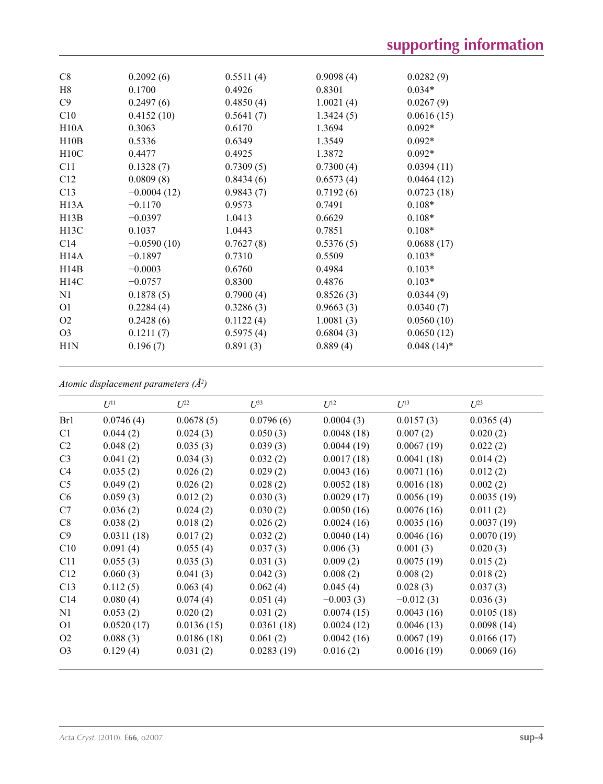| C8                | 0.2092(6)     | 0.5511(4) | 0.9098(4) | 0.0282(9)     |
|-------------------|---------------|-----------|-----------|---------------|
| H8                | 0.1700        | 0.4926    | 0.8301    | $0.034*$      |
| C9                | 0.2497(6)     | 0.4850(4) | 1.0021(4) | 0.0267(9)     |
| C10               | 0.4152(10)    | 0.5641(7) | 1.3424(5) | 0.0616(15)    |
| H10A              | 0.3063        | 0.6170    | 1.3694    | $0.092*$      |
| H10B              | 0.5336        | 0.6349    | 1.3549    | $0.092*$      |
| H10C              | 0.4477        | 0.4925    | 1.3872    | $0.092*$      |
| C11               | 0.1328(7)     | 0.7309(5) | 0.7300(4) | 0.0394(11)    |
| C12               | 0.0809(8)     | 0.8434(6) | 0.6573(4) | 0.0464(12)    |
| C13               | $-0.0004(12)$ | 0.9843(7) | 0.7192(6) | 0.0723(18)    |
| H <sub>13</sub> A | $-0.1170$     | 0.9573    | 0.7491    | $0.108*$      |
| H13B              | $-0.0397$     | 1.0413    | 0.6629    | $0.108*$      |
| H13C              | 0.1037        | 1.0443    | 0.7851    | $0.108*$      |
| C14               | $-0.0590(10)$ | 0.7627(8) | 0.5376(5) | 0.0688(17)    |
| H14A              | $-0.1897$     | 0.7310    | 0.5509    | $0.103*$      |
| H14B              | $-0.0003$     | 0.6760    | 0.4984    | $0.103*$      |
| H14C              | $-0.0757$     | 0.8300    | 0.4876    | $0.103*$      |
| N1                | 0.1878(5)     | 0.7900(4) | 0.8526(3) | 0.0344(9)     |
| O <sub>1</sub>    | 0.2284(4)     | 0.3286(3) | 0.9663(3) | 0.0340(7)     |
| O <sub>2</sub>    | 0.2428(6)     | 0.1122(4) | 1.0081(3) | 0.0560(10)    |
| O <sub>3</sub>    | 0.1211(7)     | 0.5975(4) | 0.6804(3) | 0.0650(12)    |
| H1N               | 0.196(7)      | 0.891(3)  | 0.889(4)  | $0.048(14)$ * |

*Atomic displacement parameters (Å2 )*

|                 | $U^{11}$   | $\mathcal{I}^{22}$ | $U^{33}$   | $U^{12}$    | $U^{13}$    | $U^{23}$   |
|-----------------|------------|--------------------|------------|-------------|-------------|------------|
| Br1             | 0.0746(4)  | 0.0678(5)          | 0.0796(6)  | 0.0004(3)   | 0.0157(3)   | 0.0365(4)  |
| C <sub>1</sub>  | 0.044(2)   | 0.024(3)           | 0.050(3)   | 0.0048(18)  | 0.007(2)    | 0.020(2)   |
| C <sub>2</sub>  | 0.048(2)   | 0.035(3)           | 0.039(3)   | 0.0044(19)  | 0.0067(19)  | 0.022(2)   |
| C <sub>3</sub>  | 0.041(2)   | 0.034(3)           | 0.032(2)   | 0.0017(18)  | 0.0041(18)  | 0.014(2)   |
| C <sub>4</sub>  | 0.035(2)   | 0.026(2)           | 0.029(2)   | 0.0043(16)  | 0.0071(16)  | 0.012(2)   |
| C <sub>5</sub>  | 0.049(2)   | 0.026(2)           | 0.028(2)   | 0.0052(18)  | 0.0016(18)  | 0.002(2)   |
| C6              | 0.059(3)   | 0.012(2)           | 0.030(3)   | 0.0029(17)  | 0.0056(19)  | 0.0035(19) |
| C7              | 0.036(2)   | 0.024(2)           | 0.030(2)   | 0.0050(16)  | 0.0076(16)  | 0.011(2)   |
| C8              | 0.038(2)   | 0.018(2)           | 0.026(2)   | 0.0024(16)  | 0.0035(16)  | 0.0037(19) |
| C9              | 0.0311(18) | 0.017(2)           | 0.032(2)   | 0.0040(14)  | 0.0046(16)  | 0.0070(19) |
| C10             | 0.091(4)   | 0.055(4)           | 0.037(3)   | 0.006(3)    | 0.001(3)    | 0.020(3)   |
| C11             | 0.055(3)   | 0.035(3)           | 0.031(3)   | 0.009(2)    | 0.0075(19)  | 0.015(2)   |
| C12             | 0.060(3)   | 0.041(3)           | 0.042(3)   | 0.008(2)    | 0.008(2)    | 0.018(2)   |
| C13             | 0.112(5)   | 0.063(4)           | 0.062(4)   | 0.045(4)    | 0.028(3)    | 0.037(3)   |
| C <sub>14</sub> | 0.080(4)   | 0.074(4)           | 0.051(4)   | $-0.003(3)$ | $-0.012(3)$ | 0.036(3)   |
| N1              | 0.053(2)   | 0.020(2)           | 0.031(2)   | 0.0074(15)  | 0.0043(16)  | 0.0105(18) |
| O <sub>1</sub>  | 0.0520(17) | 0.0136(15)         | 0.0361(18) | 0.0024(12)  | 0.0046(13)  | 0.0098(14) |
| O <sub>2</sub>  | 0.088(3)   | 0.0186(18)         | 0.061(2)   | 0.0042(16)  | 0.0067(19)  | 0.0166(17) |
| O <sub>3</sub>  | 0.129(4)   | 0.031(2)           | 0.0283(19) | 0.016(2)    | 0.0016(19)  | 0.0069(16) |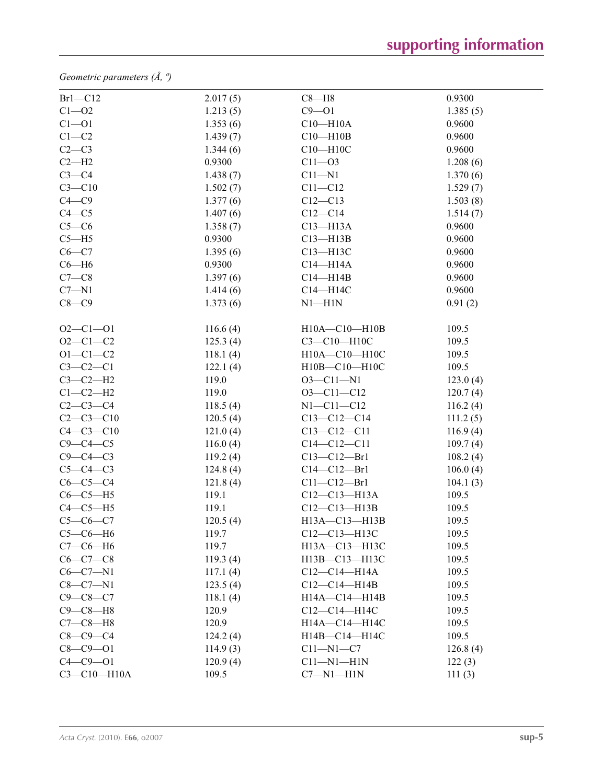*Geometric parameters (Å, º)*

| $Br1-C12$         | 2.017(5) | $C8 - H8$           | 0.9300   |
|-------------------|----------|---------------------|----------|
| $C1 - 02$         | 1.213(5) | $C9 - O1$           | 1.385(5) |
| $C1 - 01$         | 1.353(6) | $C10 - H10A$        | 0.9600   |
| $C1-C2$           | 1.439(7) | $C10 - H10B$        | 0.9600   |
| $C2-C3$           | 1.344(6) | $C10 - H10C$        | 0.9600   |
| $C2-H2$           | 0.9300   | $C11 - O3$          | 1.208(6) |
| $C3-C4$           | 1.438(7) | $C11 - N1$          | 1.370(6) |
| $C3 - C10$        | 1.502(7) | $C11 - C12$         | 1.529(7) |
| $C4 - C9$         | 1.377(6) | $C12 - C13$         | 1.503(8) |
| $C4 - C5$         | 1.407(6) | $C12 - C14$         | 1.514(7) |
| $C5-C6$           | 1.358(7) | $C13 - H13A$        | 0.9600   |
| $C5 - H5$         | 0.9300   | $C13 - H13B$        | 0.9600   |
| $C6-C7$           | 1.395(6) | C13-H13C            | 0.9600   |
| $C6 - H6$         | 0.9300   | $C14 - H14A$        | 0.9600   |
| $C7-C8$           | 1.397(6) | $C14 - H14B$        | 0.9600   |
| $C7 - N1$         | 1.414(6) | $C14 - H14C$        | 0.9600   |
| $C8-C9$           | 1.373(6) | $N1 - H1N$          | 0.91(2)  |
|                   |          |                     |          |
| $O2 - C1 - O1$    | 116.6(4) | H10A-C10-H10B       | 109.5    |
| $O2 - C1 - C2$    | 125.3(4) | C3-C10-H10C         | 109.5    |
| $O1 - C1 - C2$    | 118.1(4) | H10A-C10-H10C       | 109.5    |
| $C3-C2-C1$        | 122.1(4) | H10B-C10-H10C       | 109.5    |
| $C3-C2-H2$        | 119.0    | $O3 - Cl1 - N1$     | 123.0(4) |
| $C1-C2-H2$        | 119.0    | $O3 - Cl1 - Cl2$    | 120.7(4) |
| $C2-C3-C4$        | 118.5(4) | $N1 - C11 - C12$    | 116.2(4) |
| $C2-C3-C10$       | 120.5(4) | $C13-C12-C14$       | 111.2(5) |
| $C4 - C3 - C10$   | 121.0(4) | $C13 - C12 - C11$   | 116.9(4) |
| $C9 - C4 - C5$    | 116.0(4) | $C14 - C12 - C11$   | 109.7(4) |
| $C9 - C4 - C3$    | 119.2(4) | $C13 - C12 - Br1$   | 108.2(4) |
| $C5-C4-C3$        | 124.8(4) | $C14 - C12 - Br1$   | 106.0(4) |
| $C6-C5-C4$        | 121.8(4) | $C11 - C12 - Br1$   | 104.1(3) |
| $C6-C5-H5$        | 119.1    | $C12 - C13 - H13A$  | 109.5    |
| $C4-C5-H5$        | 119.1    | $C12 - C13 - H13B$  | 109.5    |
| $C5-C6-C7$        | 120.5(4) | H13A-C13-H13B       | 109.5    |
| $C5-C6-H6$        | 119.7    | C12-C13-H13C        | 109.5    |
| $C7-C6-H6$        | 119.7    | H13A-C13-H13C       | 109.5    |
| $C6-C7-C8$        | 119.3(4) | $H13B - C13 - H13C$ | 109.5    |
| $C6-C7-N1$        | 117.1(4) | $C12-C14-H14A$      | 109.5    |
| $C8 - C7 - N1$    | 123.5(4) | $C12-C14-H14B$      | 109.5    |
| $C9 - C8 - C7$    | 118.1(4) | H14A-C14-H14B       | 109.5    |
| $C9 - C8 - H8$    | 120.9    | C12-C14-H14C        | 109.5    |
| $C7-C8-H8$        | 120.9    | H14A-C14-H14C       | 109.5    |
| $C8-C9-C4$        | 124.2(4) | H14B-C14-H14C       | 109.5    |
| $C8 - C9 - O1$    | 114.9(3) | $C11 - N1 - C7$     | 126.8(4) |
| $C4 - C9 - O1$    | 120.9(4) | $C11 - N1 - H1N$    | 122(3)   |
| $C3 - C10 - H10A$ | 109.5    | $C7 - N1 - H1N$     | 111(3)   |